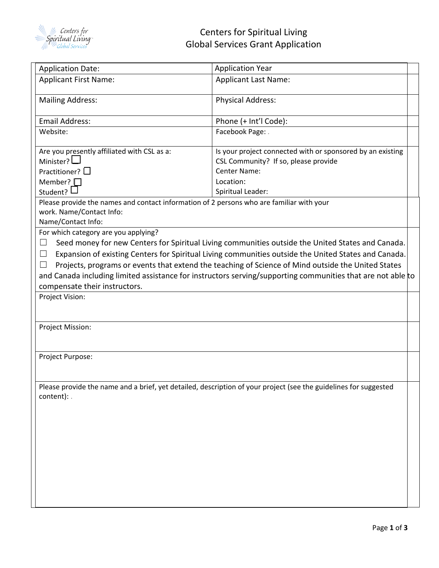

| <b>Application Date:</b>                                                                                     | <b>Application Year</b>                                                                                          |  |
|--------------------------------------------------------------------------------------------------------------|------------------------------------------------------------------------------------------------------------------|--|
| <b>Applicant First Name:</b>                                                                                 | <b>Applicant Last Name:</b>                                                                                      |  |
| <b>Mailing Address:</b>                                                                                      | <b>Physical Address:</b>                                                                                         |  |
| <b>Email Address:</b>                                                                                        | Phone (+ Int'l Code):                                                                                            |  |
| Website:                                                                                                     | Facebook Page: .                                                                                                 |  |
| Are you presently affiliated with CSL as a:                                                                  | Is your project connected with or sponsored by an existing                                                       |  |
| Minister? $\Box$                                                                                             | CSL Community? If so, please provide                                                                             |  |
| Practitioner? $\square$                                                                                      | Center Name:                                                                                                     |  |
| Member? $\square$                                                                                            | Location:                                                                                                        |  |
| Student? $\Box$                                                                                              | Spiritual Leader:                                                                                                |  |
| Please provide the names and contact information of 2 persons who are familiar with your                     |                                                                                                                  |  |
| work. Name/Contact Info:                                                                                     |                                                                                                                  |  |
| Name/Contact Info:                                                                                           |                                                                                                                  |  |
| For which category are you applying?                                                                         |                                                                                                                  |  |
| Seed money for new Centers for Spiritual Living communities outside the United States and Canada.<br>$\Box$  |                                                                                                                  |  |
| $\Box$                                                                                                       | Expansion of existing Centers for Spiritual Living communities outside the United States and Canada.             |  |
| Projects, programs or events that extend the teaching of Science of Mind outside the United States<br>$\Box$ |                                                                                                                  |  |
|                                                                                                              | and Canada including limited assistance for instructors serving/supporting communities that are not able to      |  |
| compensate their instructors.                                                                                |                                                                                                                  |  |
| Project Vision:                                                                                              |                                                                                                                  |  |
|                                                                                                              |                                                                                                                  |  |
| <b>Project Mission:</b>                                                                                      |                                                                                                                  |  |
|                                                                                                              |                                                                                                                  |  |
|                                                                                                              |                                                                                                                  |  |
| Project Purpose:                                                                                             |                                                                                                                  |  |
|                                                                                                              |                                                                                                                  |  |
|                                                                                                              | Please provide the name and a brief, yet detailed, description of your project (see the guidelines for suggested |  |
| content): .                                                                                                  |                                                                                                                  |  |
|                                                                                                              |                                                                                                                  |  |
|                                                                                                              |                                                                                                                  |  |
|                                                                                                              |                                                                                                                  |  |
|                                                                                                              |                                                                                                                  |  |
|                                                                                                              |                                                                                                                  |  |
|                                                                                                              |                                                                                                                  |  |
|                                                                                                              |                                                                                                                  |  |
|                                                                                                              |                                                                                                                  |  |
|                                                                                                              |                                                                                                                  |  |
|                                                                                                              |                                                                                                                  |  |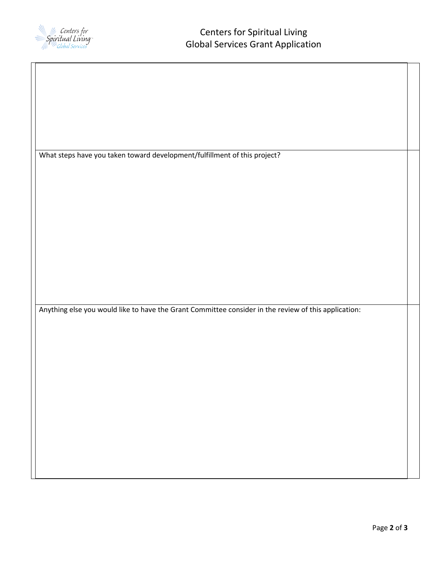

 $\overline{\phantom{a}}$ 

| What steps have you taken toward development/fulfillment of this project?                            |  |
|------------------------------------------------------------------------------------------------------|--|
|                                                                                                      |  |
|                                                                                                      |  |
|                                                                                                      |  |
|                                                                                                      |  |
|                                                                                                      |  |
|                                                                                                      |  |
|                                                                                                      |  |
|                                                                                                      |  |
|                                                                                                      |  |
| Anything else you would like to have the Grant Committee consider in the review of this application: |  |
|                                                                                                      |  |
|                                                                                                      |  |
|                                                                                                      |  |
|                                                                                                      |  |
|                                                                                                      |  |
|                                                                                                      |  |
|                                                                                                      |  |
|                                                                                                      |  |
|                                                                                                      |  |
|                                                                                                      |  |
|                                                                                                      |  |
|                                                                                                      |  |